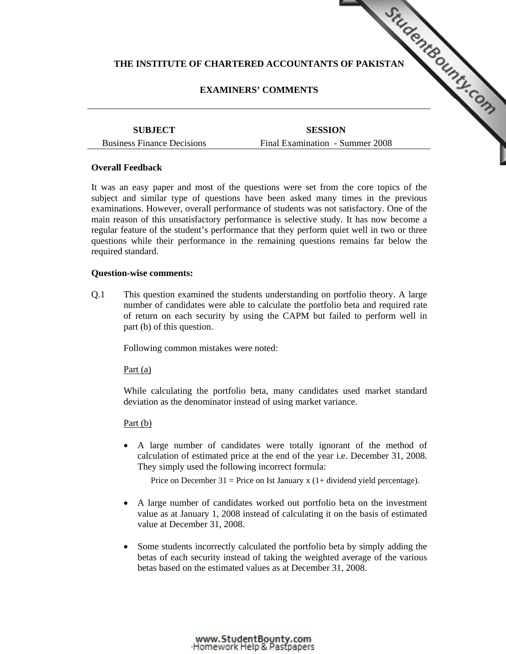# THE INSTITUTE OF CHARTERED ACCOUNTANTS [OF PAKISTAN](http://www.studentbounty.com/) **COUNTAINS**

# **EXAMINERS' COMMENTS**

**SUBJECT**  Business Finance Decisions

**SESSION**  Final Examination - Summer 2008

## **Overall Feedback**

It was an easy paper and most of the questions were set from the core topics of the subject and similar type of questions have been asked many times in the previous examinations. However, overall performance of students was not satisfactory. One of the main reason of this unsatisfactory performance is selective study. It has now become a regular feature of the student's performance that they perform quiet well in two or three questions while their performance in the remaining questions remains far below the required standard.

### **Question-wise comments:**

Q.1 This question examined the students understanding on portfolio theory. A large number of candidates were able to calculate the portfolio beta and required rate of return on each security by using the CAPM but failed to perform well in part (b) of this question.

Following common mistakes were noted:

Part (a)

 While calculating the portfolio beta, many candidates used market standard deviation as the denominator instead of using market variance.

### Part (b)

• A large number of candidates were totally ignorant of the method of calculation of estimated price at the end of the year i.e. December 31, 2008. They simply used the following incorrect formula:

Price on December 31 = Price on Ist January x  $(1+$  dividend yield percentage).

- A large number of candidates worked out portfolio beta on the investment value as at January 1, 2008 instead of calculating it on the basis of estimated value at December 31, 2008.
- Some students incorrectly calculated the portfolio beta by simply adding the betas of each security instead of taking the weighted average of the various betas based on the estimated values as at December 31, 2008.

www.StudentBounty.com<br>Homework Help & Pastpapers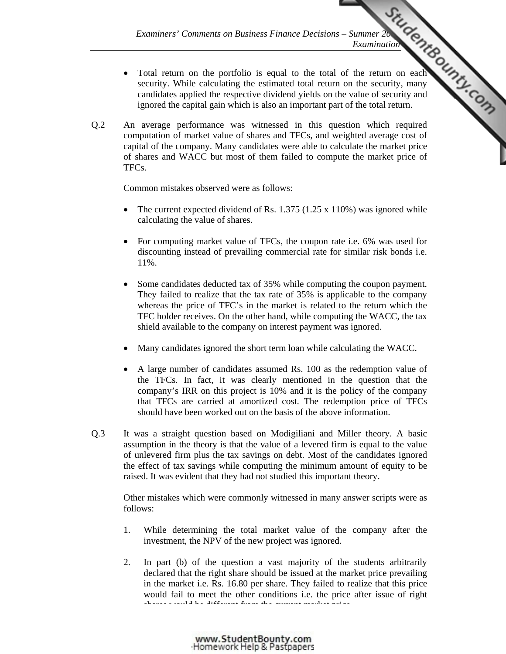- *Examiners' Comments on Business Finance Decisions Summer 2008 Examination*<br>
Examination<br>
A could to the total of the return on each<br>
A could return on the security, many<br>  $\frac{d}{dx}$  value of security and<br>  $\frac{d}{dx}$  retur Total return on the portfolio is equal to the total of the return on each security. While calculating the estimated total return on the security, many candidates applied the respective dividend yields on t[he value of security and](http://www.studentbounty.com/)  ignored the capital gain which is also an important part of the total return.
- Q.2 An average performance was witnessed in this question which required computation of market value of shares and TFCs, and weighted average cost of capital of the company. Many candidates were able to calculate the market price of shares and WACC but most of them failed to compute the market price of TFCs.

Common mistakes observed were as follows:

- The current expected dividend of Rs.  $1.375$  (1.25 x 110%) was ignored while calculating the value of shares.
- For computing market value of TFCs, the coupon rate i.e. 6% was used for discounting instead of prevailing commercial rate for similar risk bonds i.e. 11%.
- Some candidates deducted tax of 35% while computing the coupon payment. They failed to realize that the tax rate of 35% is applicable to the company whereas the price of TFC's in the market is related to the return which the TFC holder receives. On the other hand, while computing the WACC, the tax shield available to the company on interest payment was ignored.
- Many candidates ignored the short term loan while calculating the WACC.
- A large number of candidates assumed Rs. 100 as the redemption value of the TFCs. In fact, it was clearly mentioned in the question that the company's IRR on this project is 10% and it is the policy of the company that TFCs are carried at amortized cost. The redemption price of TFCs should have been worked out on the basis of the above information.
- Q.3 It was a straight question based on Modigiliani and Miller theory. A basic assumption in the theory is that the value of a levered firm is equal to the value of unlevered firm plus the tax savings on debt. Most of the candidates ignored the effect of tax savings while computing the minimum amount of equity to be raised. It was evident that they had not studied this important theory.

 Other mistakes which were commonly witnessed in many answer scripts were as follows:

- 1. While determining the total market value of the company after the investment, the NPV of the new project was ignored.
- 2. In part (b) of the question a vast majority of the students arbitrarily declared that the right share should be issued at the market price prevailing in the market i.e. Rs. 16.80 per share. They failed to realize that this price would fail to meet the other conditions i.e. the price after issue of right shares would be different from the current market price.

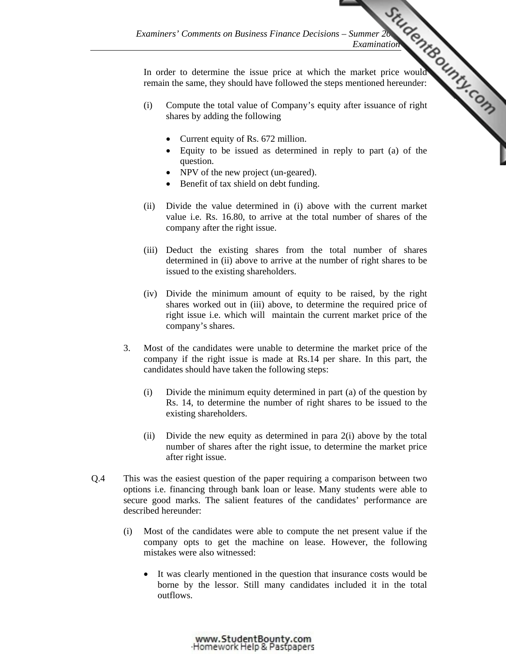In order to determine the issue price at which the market price would remain the same, they should have followed the steps mentioned hereunder:

- *Examiners' Comments on Business Finance Decisions Summer 2008 Examination*<br>
Examination<br>
The price at which the market price would result to the steps mentioned hereunder: (i) Compute the total value of Company's equit[y after issuance of right](http://www.studentbounty.com/)  shares by adding the following
	- Current equity of Rs. 672 million.
	- Equity to be issued as determined in reply to part (a) of the question.
	- NPV of the new project (un-geared).
	- Benefit of tax shield on debt funding.
	- (ii) Divide the value determined in (i) above with the current market value i.e. Rs. 16.80, to arrive at the total number of shares of the company after the right issue.
	- (iii) Deduct the existing shares from the total number of shares determined in (ii) above to arrive at the number of right shares to be issued to the existing shareholders.
	- (iv) Divide the minimum amount of equity to be raised, by the right shares worked out in (iii) above, to determine the required price of right issue i.e. which will maintain the current market price of the company's shares.
- 3. Most of the candidates were unable to determine the market price of the company if the right issue is made at Rs.14 per share. In this part, the candidates should have taken the following steps:
	- (i) Divide the minimum equity determined in part (a) of the question by Rs. 14, to determine the number of right shares to be issued to the existing shareholders.
	- (ii) Divide the new equity as determined in para 2(i) above by the total number of shares after the right issue, to determine the market price after right issue.
- Q.4 This was the easiest question of the paper requiring a comparison between two options i.e. financing through bank loan or lease. Many students were able to secure good marks. The salient features of the candidates' performance are described hereunder:
	- (i) Most of the candidates were able to compute the net present value if the company opts to get the machine on lease. However, the following mistakes were also witnessed:
		- It was clearly mentioned in the question that insurance costs would be borne by the lessor. Still many candidates included it in the total outflows.

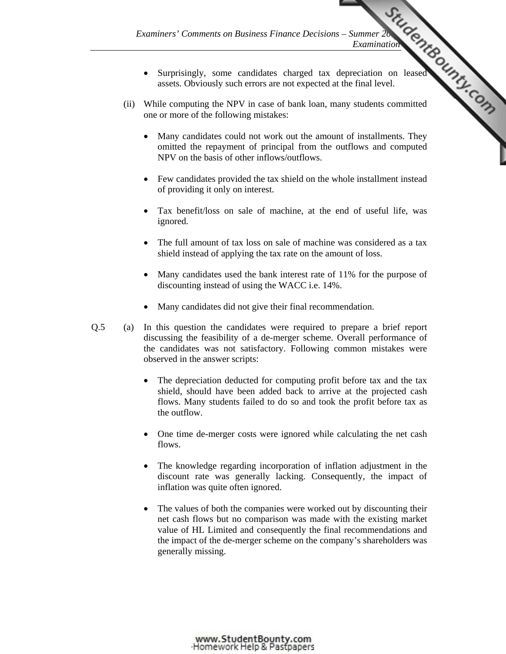• Surprisingly, some candidates charged tax depreciation on leased assets. Obviously such errors are not expected at the final level.

*Examination* 

- Examiners' Comments on Business Finance Decisions Summer 2008<br>
Examination<br>
The CHAP COMPOSED on the Summer 2008<br>
The COMPOSED of the final level. (ii) While computing the NPV in case of bank loan, many students committed one or more of the following mistakes:
	- Many candidates could not work out the amou[nt of installments. They](http://www.studentbounty.com/)  omitted the repayment of principal from the outflows and computed NPV on the basis of other inflows/outflows.
	- Few candidates provided the tax shield on the whole installment instead of providing it only on interest.
	- Tax benefit/loss on sale of machine, at the end of useful life, was ignored.
	- The full amount of tax loss on sale of machine was considered as a tax shield instead of applying the tax rate on the amount of loss.
	- Many candidates used the bank interest rate of 11% for the purpose of discounting instead of using the WACC i.e. 14%.
	- Many candidates did not give their final recommendation.
- Q.5 (a) In this question the candidates were required to prepare a brief report discussing the feasibility of a de-merger scheme. Overall performance of the candidates was not satisfactory. Following common mistakes were observed in the answer scripts:
	- The depreciation deducted for computing profit before tax and the tax shield, should have been added back to arrive at the projected cash flows. Many students failed to do so and took the profit before tax as the outflow.
	- One time de-merger costs were ignored while calculating the net cash flows.
	- The knowledge regarding incorporation of inflation adjustment in the discount rate was generally lacking. Consequently, the impact of inflation was quite often ignored.
	- The values of both the companies were worked out by discounting their net cash flows but no comparison was made with the existing market value of HL Limited and consequently the final recommendations and the impact of the de-merger scheme on the company's shareholders was generally missing.

www.StudentBounty.com Homework Help & Pastoapers-